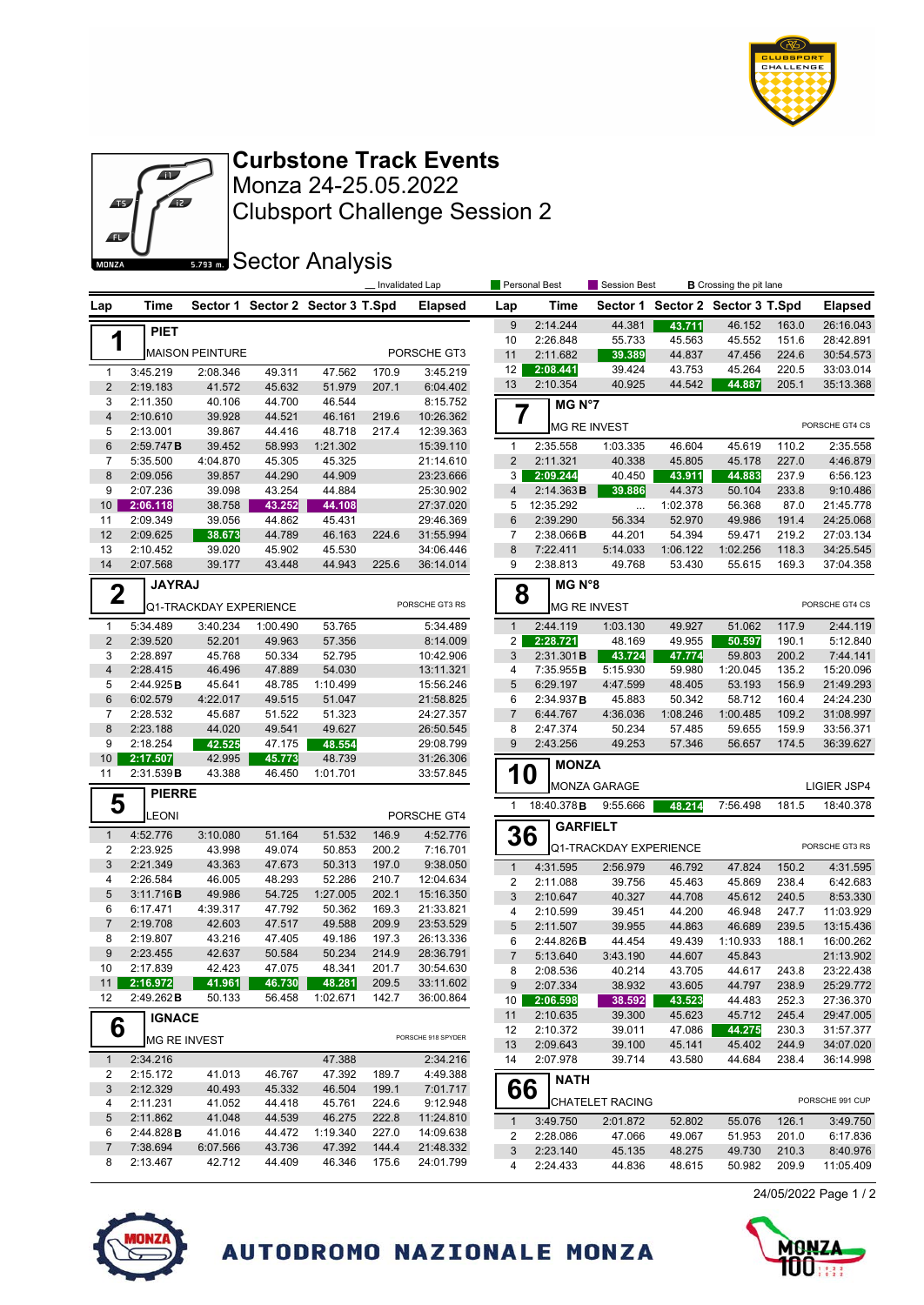



Monza 24-25.05.2022 **Curbstone Track Events**

Clubsport Challenge Session 2

**Sector Analysis** 

|                                   |                              |                        |                  |                                  | Invalidated Lap |                        |                         | Personal Best        |                        | Session Best       |                         | <b>B</b> Crossing the pit lane |                        |
|-----------------------------------|------------------------------|------------------------|------------------|----------------------------------|-----------------|------------------------|-------------------------|----------------------|------------------------|--------------------|-------------------------|--------------------------------|------------------------|
| Lap                               | Time                         |                        |                  | Sector 1 Sector 2 Sector 3 T.Spd |                 | <b>Elapsed</b>         | Lap                     | Time                 | Sector 1               |                    | Sector 2 Sector 3 T.Spd |                                | <b>Elapsed</b>         |
|                                   | <b>PIET</b>                  |                        |                  |                                  |                 |                        | 9                       | 2:14.244             | 44.381                 | 43.711             | 46.152                  | 163.0                          | 26:16.043              |
| 1                                 |                              | <b>MAISON PEINTURE</b> |                  |                                  |                 | PORSCHE GT3            | 10                      | 2:26.848             | 55.733                 | 45.563             | 45.552                  | 151.6                          | 28:42.891              |
|                                   |                              |                        |                  |                                  |                 |                        | 11<br>12                | 2:11.682<br>2:08.441 | 39.389<br>39.424       | 44.837<br>43.753   | 47.456<br>45.264        | 224.6<br>220.5                 | 30:54.573<br>33:03.014 |
| $\mathbf{1}$<br>$\overline{2}$    | 3:45.219<br>2:19.183         | 2:08.346<br>41.572     | 49.311<br>45.632 | 47.562<br>51.979                 | 170.9<br>207.1  | 3:45.219<br>6:04.402   | 13                      | 2:10.354             | 40.925                 | 44.542             | 44.887                  | 205.1                          | 35:13.368              |
| 3                                 | 2:11.350                     | 40.106                 | 44.700           | 46.544                           |                 | 8:15.752               |                         |                      |                        |                    |                         |                                |                        |
| $\overline{\mathbf{4}}$           | 2:10.610                     | 39.928                 | 44.521           | 46.161                           | 219.6           | 10:26.362              | 7                       | MG N°7               |                        |                    |                         |                                |                        |
| 5                                 | 2:13.001                     | 39.867                 | 44.416           | 48.718                           | 217.4           | 12:39.363              |                         | <b>MG RE INVEST</b>  |                        |                    |                         |                                | PORSCHE GT4 CS         |
| $6\phantom{1}6$                   | 2:59.747B                    | 39.452                 | 58.993           | 1:21.302                         |                 | 15:39.110              | 1                       | 2:35.558             | 1:03.335               | 46.604             | 45.619                  | 110.2                          | 2:35.558               |
| $\overline{7}$                    | 5:35.500                     | 4:04.870               | 45.305           | 45.325                           |                 | 21:14.610              | 2                       | 2:11.321             | 40.338                 | 45.805             | 45.178                  | 227.0                          | 4:46.879               |
| 8                                 | 2:09.056                     | 39.857                 | 44.290           | 44.909                           |                 | 23:23.666              | 3                       | 2:09.244             | 40.450                 | 43.911             | 44.883                  | 237.9                          | 6:56.123               |
| 9                                 | 2:07.236                     | 39.098                 | 43.254           | 44.884                           |                 | 25:30.902              | $\overline{4}$          | 2:14.363B            | 39.886                 | 44.373             | 50.104                  | 233.8                          | 9:10.486               |
| 10 <sup>°</sup>                   | 2:06.118                     | 38.758                 | 43.252           | 44.108                           |                 | 27:37.020              | 5                       | 12:35.292            | $\ldots$               | 1:02.378           | 56.368                  | 87.0                           | 21:45.778              |
| 11                                | 2:09.349                     | 39.056                 | 44.862           | 45.431                           |                 | 29:46.369              | $6\phantom{1}$          | 2:39.290             | 56.334                 | 52.970             | 49.986                  | 191.4                          | 24:25.068              |
| 12                                | 2:09.625                     | 38.673                 | 44.789           | 46.163                           | 224.6           | 31:55.994              | $\overline{7}$<br>8     | 2:38.066B            | 44.201                 | 54.394             | 59.471                  | 219.2                          | 27:03.134              |
| 13<br>14                          | 2:10.452<br>2:07.568         | 39.020<br>39.177       | 45.902<br>43.448 | 45.530<br>44.943                 | 225.6           | 34:06.446<br>36:14.014 | 9                       | 7:22.411<br>2:38.813 | 5:14.033<br>49.768     | 1:06.122<br>53.430 | 1:02.256<br>55.615      | 118.3<br>169.3                 | 34:25.545<br>37:04.358 |
|                                   |                              |                        |                  |                                  |                 |                        |                         |                      |                        |                    |                         |                                |                        |
|                                   | <b>JAYRAJ</b><br>$\mathbf 2$ |                        |                  |                                  |                 |                        | 8                       | MG N°8               |                        |                    |                         |                                |                        |
|                                   |                              | Q1-TRACKDAY EXPERIENCE |                  |                                  | PORSCHE GT3 RS  |                        | <b>MG RE INVEST</b>     |                      |                        | PORSCHE GT4 CS     |                         |                                |                        |
| 1                                 | 5:34.489                     | 3:40.234               | 1:00.490         | 53.765                           |                 | 5:34.489               | $\mathbf{1}$            | 2:44.119             | 1:03.130               | 49.927             | 51.062                  | 117.9                          | 2:44.119               |
| $\sqrt{2}$                        | 2:39.520                     | 52.201                 | 49.963           | 57.356                           |                 | 8:14.009               | $\overline{a}$          | 2:28.721             | 48.169                 | 49.955             | 50.597                  | 190.1                          | 5:12.840               |
| 3                                 | 2:28.897                     | 45.768                 | 50.334           | 52.795                           |                 | 10:42.906              | 3                       | 2:31.301B            | 43.724                 | 47.774             | 59.803                  | 200.2                          | 7:44.141               |
| $\overline{4}$                    | 2:28.415                     | 46.496                 | 47.889           | 54.030                           |                 | 13:11.321              | 4                       | 7:35.955B            | 5:15.930               | 59.980             | 1:20.045                | 135.2                          | 15:20.096              |
| 5                                 | 2:44.925B                    | 45.641                 | 48.785           | 1:10.499                         |                 | 15:56.246              | 5                       | 6:29.197             | 4:47.599               | 48.405             | 53.193                  | 156.9                          | 21:49.293              |
| $6\phantom{1}6$<br>$\overline{7}$ | 6:02.579                     | 4:22.017               | 49.515           | 51.047<br>51.323                 |                 | 21:58.825              | 6<br>$\overline{7}$     | 2:34.937B            | 45.883                 | 50.342             | 58.712                  | 160.4<br>109.2                 | 24:24.230              |
| 8                                 | 2:28.532<br>2:23.188         | 45.687<br>44.020       | 51.522<br>49.541 | 49.627                           |                 | 24:27.357<br>26:50.545 | 8                       | 6:44.767<br>2:47.374 | 4:36.036<br>50.234     | 1:08.246<br>57.485 | 1:00.485<br>59.655      | 159.9                          | 31:08.997<br>33:56.371 |
| 9                                 | 2:18.254                     | 42.525                 | 47.175           | 48.554                           |                 | 29:08.799              | 9                       | 2:43.256             | 49.253                 | 57.346             | 56.657                  | 174.5                          | 36:39.627              |
| 10                                | 2:17.507                     | 42.995                 | 45.773           | 48.739                           |                 | 31:26.306              |                         |                      |                        |                    |                         |                                |                        |
| 11                                | 2:31.539B                    | 43.388                 | 46.450           | 1:01.701                         |                 | 33:57.845              | 10                      | <b>MONZA</b>         |                        |                    |                         |                                |                        |
|                                   | <b>PIERRE</b>                |                        |                  |                                  |                 |                        |                         |                      | MONZA GARAGE           |                    |                         |                                | LIGIER JSP4            |
| 5                                 | LEONI                        |                        |                  |                                  |                 | PORSCHE GT4            | $\mathbf{1}$            | 18:40.378B           | 9:55.666               | 48.214             | 7:56.498                | 181.5                          | 18:40.378              |
|                                   | 4:52.776                     |                        |                  | 51.532                           |                 | 4:52.776               |                         | <b>GARFIELT</b>      |                        |                    |                         |                                |                        |
| $\mathbf{1}$<br>$\sqrt{2}$        | 2:23.925                     | 3:10.080<br>43.998     | 51.164<br>49.074 | 50.853                           | 146.9<br>200.2  | 7:16.701               | 36                      |                      | Q1-TRACKDAY EXPERIENCE |                    |                         |                                | PORSCHE GT3 RS         |
| 3                                 | 2:21.349                     | 43.363                 | 47.673           | 50.313                           | 197.0           | 9:38.050               | $\mathbf{1}$            | 4:31.595             | 2:56.979               |                    |                         |                                |                        |
| 4                                 | 2:26.584                     | 46.005                 | 48.293           | 52.286                           | 210.7           | 12:04.634              | $\overline{\mathbf{c}}$ | 2:11.088             | 39.756                 | 46.792<br>45.463   | 47.824<br>45.869        | 150.2<br>238.4                 | 4:31.595<br>6:42.683   |
| 5                                 | 3:11.716B                    | 49.986                 | 54.725           | 1:27.005                         | 202.1           | 15:16.350              | 3                       | 2:10.647             | 40.327                 | 44.708             | 45.612                  | 240.5                          | 8:53.330               |
| 6                                 | 6:17.471                     | 4:39.317               | 47.792           | 50.362                           | 169.3           | 21:33.821              | 4                       | 2:10.599             | 39.451                 | 44.200             | 46.948                  | 247.7                          | 11:03.929              |
| $\overline{7}$                    | 2:19.708                     | 42.603                 | 47.517           | 49.588                           | 209.9           | 23:53.529              | 5                       | 2:11.507             | 39.955                 | 44.863             | 46.689                  | 239.5                          | 13:15.436              |
| 8                                 | 2:19.807                     | 43.216                 | 47.405           | 49.186                           | 197.3           | 26:13.336              | 6                       | 2:44.826B            | 44.454                 | 49.439             | 1:10.933                | 188.1                          | 16:00.262              |
| $\boldsymbol{9}$                  | 2:23.455                     | 42.637                 | 50.584           | 50.234                           | 214.9           | 28:36.791              | $\overline{7}$          | 5:13.640             | 3:43.190               | 44.607             | 45.843                  |                                | 21:13.902              |
| 10                                | 2:17.839                     | 42.423                 | 47.075           | 48.341                           | 201.7           | 30:54.630              | 8                       | 2:08.536             | 40.214                 | 43.705             | 44.617                  | 243.8                          | 23:22.438              |
| 11                                | 2:16.972                     | 41.961                 | 46.730           | 48.281                           | 209.5           | 33:11.602              | 9                       | 2:07.334             | 38.932                 | 43.605             | 44.797                  | 238.9                          | 25:29.772              |
| 12                                | 2:49.262B                    | 50.133                 | 56.458           | 1:02.671                         | 142.7           | 36:00.864              | 10                      | 2:06.598             | 38.592                 | 43.523             | 44.483                  | 252.3                          | 27:36.370              |
| 6                                 | <b>IGNACE</b>                |                        |                  |                                  |                 |                        | 11                      | 2:10.635             | 39.300                 | 45.623             | 45.712                  | 245.4                          | 29:47.005              |
|                                   |                              | MG RE INVEST           |                  |                                  |                 | PORSCHE 918 SPYDER     | 12<br>13                | 2:10.372<br>2:09.643 | 39.011<br>39.100       | 47.086<br>45.141   | 44.275<br>45.402        | 230.3<br>244.9                 | 31:57.377<br>34:07.020 |
| $\mathbf{1}$                      | 2:34.216                     |                        |                  | 47.388                           |                 | 2:34.216               | 14                      | 2:07.978             | 39.714                 | 43.580             | 44.684                  | 238.4                          | 36:14.998              |
| 2                                 | 2:15.172                     | 41.013                 | 46.767           | 47.392                           | 189.7           | 4:49.388               |                         | <b>NATH</b>          |                        |                    |                         |                                |                        |
| $\sqrt{3}$                        | 2:12.329                     | 40.493                 | 45.332           | 46.504                           | 199.1           | 7:01.717               | 66                      |                      |                        |                    |                         |                                |                        |
| 4                                 | 2:11.231                     | 41.052                 | 44.418           | 45.761                           | 224.6           | 9:12.948               |                         |                      | <b>CHATELET RACING</b> |                    |                         |                                | PORSCHE 991 CUP        |
| 5                                 | 2:11.862                     | 41.048                 | 44.539           | 46.275                           | 222.8           | 11:24.810              | 1                       | 3:49.750             | 2:01.872               | 52.802             | 55.076                  | 126.1                          | 3:49.750               |
| 6                                 | 2:44.828B                    | 41.016                 | 44.472           | 1:19.340                         | 227.0           | 14:09.638              | 2                       | 2:28.086             | 47.066                 | 49.067             | 51.953                  | 201.0                          | 6:17.836               |
| $\overline{7}$                    | 7:38.694                     | 6:07.566               | 43.736           | 47.392                           | 144.4           | 21:48.332              | 3                       | 2:23.140             | 45.135                 | 48.275             | 49.730                  | 210.3                          | 8:40.976               |
| 8                                 | 2:13.467                     | 42.712                 | 44.409           | 46.346                           | 175.6           | 24:01.799              | 4                       | 2:24.433             | 44.836                 | 48.615             | 50.982                  | 209.9                          | 11:05.409              |







AUTODROMO NAZIONALE MONZA